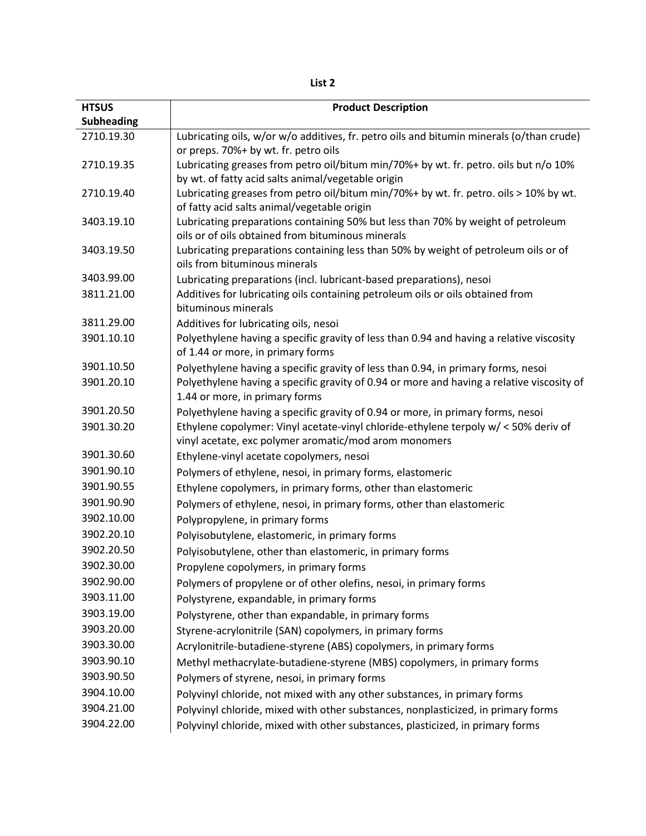**List 2**

| <b>HTSUS</b>      | <b>Product Description</b>                                                                                                            |
|-------------------|---------------------------------------------------------------------------------------------------------------------------------------|
| <b>Subheading</b> |                                                                                                                                       |
| 2710.19.30        | Lubricating oils, w/or w/o additives, fr. petro oils and bitumin minerals (o/than crude)                                              |
|                   | or preps. 70%+ by wt. fr. petro oils                                                                                                  |
| 2710.19.35        | Lubricating greases from petro oil/bitum min/70%+ by wt. fr. petro. oils but n/o 10%                                                  |
|                   | by wt. of fatty acid salts animal/vegetable origin                                                                                    |
| 2710.19.40        | Lubricating greases from petro oil/bitum min/70%+ by wt. fr. petro. oils > 10% by wt.                                                 |
|                   | of fatty acid salts animal/vegetable origin                                                                                           |
| 3403.19.10        | Lubricating preparations containing 50% but less than 70% by weight of petroleum<br>oils or of oils obtained from bituminous minerals |
| 3403.19.50        | Lubricating preparations containing less than 50% by weight of petroleum oils or of                                                   |
|                   | oils from bituminous minerals                                                                                                         |
| 3403.99.00        | Lubricating preparations (incl. lubricant-based preparations), nesoi                                                                  |
| 3811.21.00        | Additives for lubricating oils containing petroleum oils or oils obtained from                                                        |
|                   | bituminous minerals                                                                                                                   |
| 3811.29.00        | Additives for lubricating oils, nesoi                                                                                                 |
| 3901.10.10        | Polyethylene having a specific gravity of less than 0.94 and having a relative viscosity                                              |
|                   | of 1.44 or more, in primary forms                                                                                                     |
| 3901.10.50        | Polyethylene having a specific gravity of less than 0.94, in primary forms, nesoi                                                     |
| 3901.20.10        | Polyethylene having a specific gravity of 0.94 or more and having a relative viscosity of                                             |
|                   | 1.44 or more, in primary forms                                                                                                        |
| 3901.20.50        | Polyethylene having a specific gravity of 0.94 or more, in primary forms, nesoi                                                       |
| 3901.30.20        | Ethylene copolymer: Vinyl acetate-vinyl chloride-ethylene terpoly w/ < 50% deriv of                                                   |
| 3901.30.60        | vinyl acetate, exc polymer aromatic/mod arom monomers                                                                                 |
| 3901.90.10        | Ethylene-vinyl acetate copolymers, nesoi                                                                                              |
| 3901.90.55        | Polymers of ethylene, nesoi, in primary forms, elastomeric                                                                            |
| 3901.90.90        | Ethylene copolymers, in primary forms, other than elastomeric                                                                         |
| 3902.10.00        | Polymers of ethylene, nesoi, in primary forms, other than elastomeric                                                                 |
| 3902.20.10        | Polypropylene, in primary forms                                                                                                       |
| 3902.20.50        | Polyisobutylene, elastomeric, in primary forms                                                                                        |
| 3902.30.00        | Polyisobutylene, other than elastomeric, in primary forms                                                                             |
| 3902.90.00        | Propylene copolymers, in primary forms                                                                                                |
| 3903.11.00        | Polymers of propylene or of other olefins, nesoi, in primary forms                                                                    |
| 3903.19.00        | Polystyrene, expandable, in primary forms                                                                                             |
| 3903.20.00        | Polystyrene, other than expandable, in primary forms                                                                                  |
| 3903.30.00        | Styrene-acrylonitrile (SAN) copolymers, in primary forms                                                                              |
| 3903.90.10        | Acrylonitrile-butadiene-styrene (ABS) copolymers, in primary forms                                                                    |
|                   | Methyl methacrylate-butadiene-styrene (MBS) copolymers, in primary forms                                                              |
| 3903.90.50        | Polymers of styrene, nesoi, in primary forms                                                                                          |
| 3904.10.00        | Polyvinyl chloride, not mixed with any other substances, in primary forms                                                             |
| 3904.21.00        | Polyvinyl chloride, mixed with other substances, nonplasticized, in primary forms                                                     |
| 3904.22.00        | Polyvinyl chloride, mixed with other substances, plasticized, in primary forms                                                        |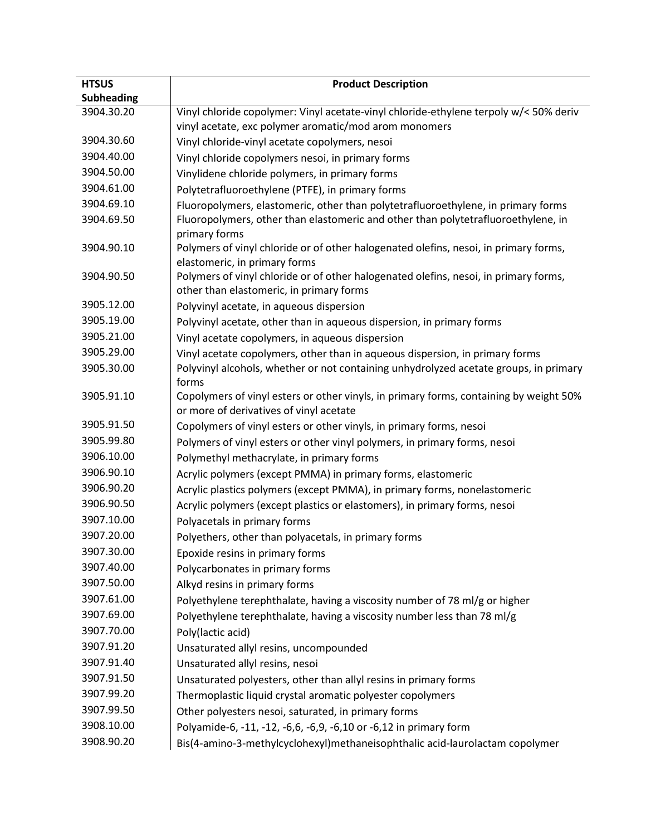| <b>HTSUS</b>      | <b>Product Description</b>                                                                                            |
|-------------------|-----------------------------------------------------------------------------------------------------------------------|
| <b>Subheading</b> |                                                                                                                       |
| 3904.30.20        | Vinyl chloride copolymer: Vinyl acetate-vinyl chloride-ethylene terpoly w/< 50% deriv                                 |
|                   | vinyl acetate, exc polymer aromatic/mod arom monomers                                                                 |
| 3904.30.60        | Vinyl chloride-vinyl acetate copolymers, nesoi                                                                        |
| 3904.40.00        | Vinyl chloride copolymers nesoi, in primary forms                                                                     |
| 3904.50.00        | Vinylidene chloride polymers, in primary forms                                                                        |
| 3904.61.00        | Polytetrafluoroethylene (PTFE), in primary forms                                                                      |
| 3904.69.10        | Fluoropolymers, elastomeric, other than polytetrafluoroethylene, in primary forms                                     |
| 3904.69.50        | Fluoropolymers, other than elastomeric and other than polytetrafluoroethylene, in                                     |
|                   | primary forms                                                                                                         |
| 3904.90.10        | Polymers of vinyl chloride or of other halogenated olefins, nesoi, in primary forms,                                  |
| 3904.90.50        | elastomeric, in primary forms<br>Polymers of vinyl chloride or of other halogenated olefins, nesoi, in primary forms, |
|                   | other than elastomeric, in primary forms                                                                              |
| 3905.12.00        | Polyvinyl acetate, in aqueous dispersion                                                                              |
| 3905.19.00        | Polyvinyl acetate, other than in aqueous dispersion, in primary forms                                                 |
| 3905.21.00        | Vinyl acetate copolymers, in aqueous dispersion                                                                       |
| 3905.29.00        | Vinyl acetate copolymers, other than in aqueous dispersion, in primary forms                                          |
| 3905.30.00        | Polyvinyl alcohols, whether or not containing unhydrolyzed acetate groups, in primary                                 |
|                   | forms                                                                                                                 |
| 3905.91.10        | Copolymers of vinyl esters or other vinyls, in primary forms, containing by weight 50%                                |
|                   | or more of derivatives of vinyl acetate                                                                               |
| 3905.91.50        | Copolymers of vinyl esters or other vinyls, in primary forms, nesoi                                                   |
| 3905.99.80        | Polymers of vinyl esters or other vinyl polymers, in primary forms, nesoi                                             |
| 3906.10.00        | Polymethyl methacrylate, in primary forms                                                                             |
| 3906.90.10        | Acrylic polymers (except PMMA) in primary forms, elastomeric                                                          |
| 3906.90.20        | Acrylic plastics polymers (except PMMA), in primary forms, nonelastomeric                                             |
| 3906.90.50        | Acrylic polymers (except plastics or elastomers), in primary forms, nesoi                                             |
| 3907.10.00        | Polyacetals in primary forms                                                                                          |
| 3907.20.00        | Polyethers, other than polyacetals, in primary forms                                                                  |
| 3907.30.00        | Epoxide resins in primary forms                                                                                       |
| 3907.40.00        | Polycarbonates in primary forms                                                                                       |
| 3907.50.00        | Alkyd resins in primary forms                                                                                         |
| 3907.61.00        | Polyethylene terephthalate, having a viscosity number of 78 ml/g or higher                                            |
| 3907.69.00        | Polyethylene terephthalate, having a viscosity number less than 78 ml/g                                               |
| 3907.70.00        | Poly(lactic acid)                                                                                                     |
| 3907.91.20        | Unsaturated allyl resins, uncompounded                                                                                |
| 3907.91.40        | Unsaturated allyl resins, nesoi                                                                                       |
| 3907.91.50        | Unsaturated polyesters, other than allyl resins in primary forms                                                      |
| 3907.99.20        | Thermoplastic liquid crystal aromatic polyester copolymers                                                            |
| 3907.99.50        | Other polyesters nesoi, saturated, in primary forms                                                                   |
| 3908.10.00        | Polyamide-6, -11, -12, -6,6, -6,9, -6,10 or -6,12 in primary form                                                     |
| 3908.90.20        | Bis(4-amino-3-methylcyclohexyl)methaneisophthalic acid-laurolactam copolymer                                          |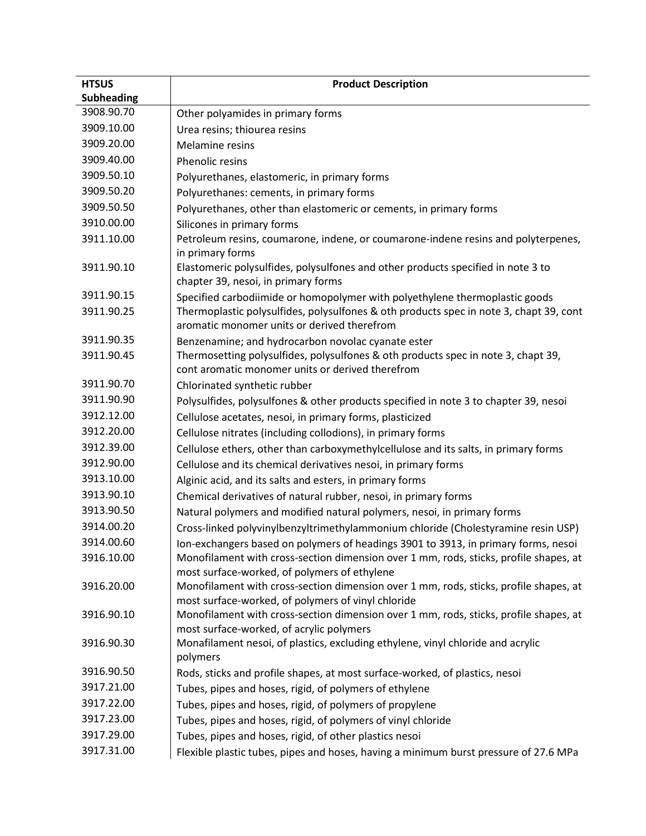| <b>HTSUS</b>      | <b>Product Description</b>                                                                                                            |
|-------------------|---------------------------------------------------------------------------------------------------------------------------------------|
| <b>Subheading</b> |                                                                                                                                       |
| 3908.90.70        | Other polyamides in primary forms                                                                                                     |
| 3909.10.00        | Urea resins; thiourea resins                                                                                                          |
| 3909.20.00        | Melamine resins                                                                                                                       |
| 3909.40.00        | <b>Phenolic resins</b>                                                                                                                |
| 3909.50.10        | Polyurethanes, elastomeric, in primary forms                                                                                          |
| 3909.50.20        | Polyurethanes: cements, in primary forms                                                                                              |
| 3909.50.50        | Polyurethanes, other than elastomeric or cements, in primary forms                                                                    |
| 3910.00.00        | Silicones in primary forms                                                                                                            |
| 3911.10.00        | Petroleum resins, coumarone, indene, or coumarone-indene resins and polyterpenes,                                                     |
|                   | in primary forms                                                                                                                      |
| 3911.90.10        | Elastomeric polysulfides, polysulfones and other products specified in note 3 to<br>chapter 39, nesoi, in primary forms               |
| 3911.90.15        | Specified carbodiimide or homopolymer with polyethylene thermoplastic goods                                                           |
| 3911.90.25        | Thermoplastic polysulfides, polysulfones & oth products spec in note 3, chapt 39, cont<br>aromatic monomer units or derived therefrom |
| 3911.90.35        | Benzenamine; and hydrocarbon novolac cyanate ester                                                                                    |
| 3911.90.45        | Thermosetting polysulfides, polysulfones & oth products spec in note 3, chapt 39,                                                     |
|                   | cont aromatic monomer units or derived therefrom                                                                                      |
| 3911.90.70        | Chlorinated synthetic rubber                                                                                                          |
| 3911.90.90        | Polysulfides, polysulfones & other products specified in note 3 to chapter 39, nesoi                                                  |
| 3912.12.00        | Cellulose acetates, nesoi, in primary forms, plasticized                                                                              |
| 3912.20.00        | Cellulose nitrates (including collodions), in primary forms                                                                           |
| 3912.39.00        | Cellulose ethers, other than carboxymethylcellulose and its salts, in primary forms                                                   |
| 3912.90.00        | Cellulose and its chemical derivatives nesoi, in primary forms                                                                        |
| 3913.10.00        | Alginic acid, and its salts and esters, in primary forms                                                                              |
| 3913.90.10        | Chemical derivatives of natural rubber, nesoi, in primary forms                                                                       |
| 3913.90.50        | Natural polymers and modified natural polymers, nesoi, in primary forms                                                               |
| 3914.00.20        | Cross-linked polyvinylbenzyltrimethylammonium chloride (Cholestyramine resin USP)                                                     |
| 3914.00.60        | Ion-exchangers based on polymers of headings 3901 to 3913, in primary forms, nesoi                                                    |
| 3916.10.00        | Monofilament with cross-section dimension over 1 mm, rods, sticks, profile shapes, at                                                 |
|                   | most surface-worked, of polymers of ethylene                                                                                          |
| 3916.20.00        | Monofilament with cross-section dimension over 1 mm, rods, sticks, profile shapes, at                                                 |
|                   | most surface-worked, of polymers of vinyl chloride                                                                                    |
| 3916.90.10        | Monofilament with cross-section dimension over 1 mm, rods, sticks, profile shapes, at                                                 |
| 3916.90.30        | most surface-worked, of acrylic polymers<br>Monafilament nesoi, of plastics, excluding ethylene, vinyl chloride and acrylic           |
|                   | polymers                                                                                                                              |
| 3916.90.50        | Rods, sticks and profile shapes, at most surface-worked, of plastics, nesoi                                                           |
| 3917.21.00        | Tubes, pipes and hoses, rigid, of polymers of ethylene                                                                                |
| 3917.22.00        | Tubes, pipes and hoses, rigid, of polymers of propylene                                                                               |
| 3917.23.00        | Tubes, pipes and hoses, rigid, of polymers of vinyl chloride                                                                          |
| 3917.29.00        | Tubes, pipes and hoses, rigid, of other plastics nesoi                                                                                |
| 3917.31.00        | Flexible plastic tubes, pipes and hoses, having a minimum burst pressure of 27.6 MPa                                                  |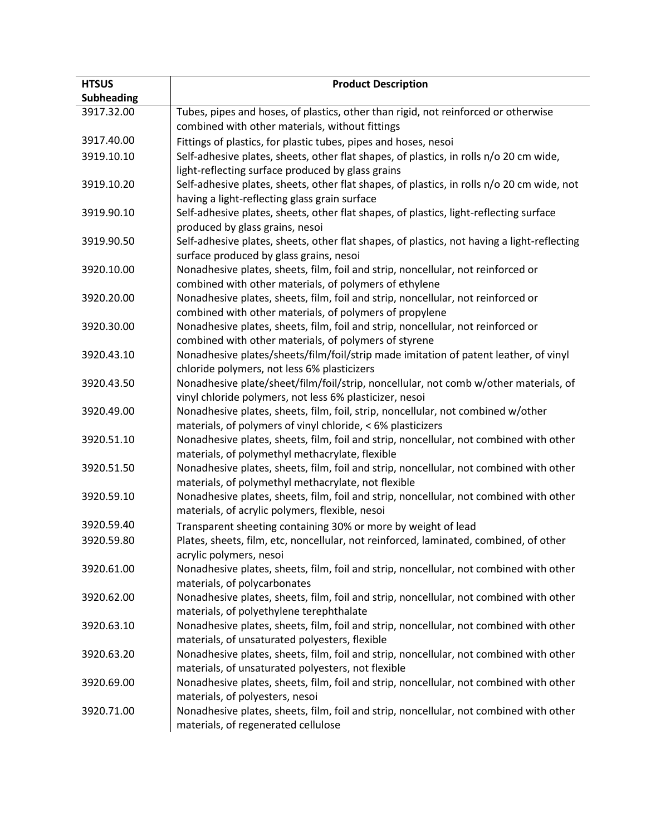| <b>HTSUS</b>      | <b>Product Description</b>                                                                                                                                                        |
|-------------------|-----------------------------------------------------------------------------------------------------------------------------------------------------------------------------------|
| <b>Subheading</b> |                                                                                                                                                                                   |
| 3917.32.00        | Tubes, pipes and hoses, of plastics, other than rigid, not reinforced or otherwise<br>combined with other materials, without fittings                                             |
| 3917.40.00        | Fittings of plastics, for plastic tubes, pipes and hoses, nesoi                                                                                                                   |
| 3919.10.10        | Self-adhesive plates, sheets, other flat shapes, of plastics, in rolls n/o 20 cm wide,<br>light-reflecting surface produced by glass grains                                       |
| 3919.10.20        | Self-adhesive plates, sheets, other flat shapes, of plastics, in rolls n/o 20 cm wide, not<br>having a light-reflecting glass grain surface                                       |
| 3919.90.10        | Self-adhesive plates, sheets, other flat shapes, of plastics, light-reflecting surface<br>produced by glass grains, nesoi                                                         |
| 3919.90.50        | Self-adhesive plates, sheets, other flat shapes, of plastics, not having a light-reflecting<br>surface produced by glass grains, nesoi                                            |
| 3920.10.00        | Nonadhesive plates, sheets, film, foil and strip, noncellular, not reinforced or<br>combined with other materials, of polymers of ethylene                                        |
| 3920.20.00        | Nonadhesive plates, sheets, film, foil and strip, noncellular, not reinforced or<br>combined with other materials, of polymers of propylene                                       |
| 3920.30.00        | Nonadhesive plates, sheets, film, foil and strip, noncellular, not reinforced or<br>combined with other materials, of polymers of styrene                                         |
| 3920.43.10        | Nonadhesive plates/sheets/film/foil/strip made imitation of patent leather, of vinyl<br>chloride polymers, not less 6% plasticizers                                               |
| 3920.43.50        | Nonadhesive plate/sheet/film/foil/strip, noncellular, not comb w/other materials, of<br>vinyl chloride polymers, not less 6% plasticizer, nesoi                                   |
| 3920.49.00        | Nonadhesive plates, sheets, film, foil, strip, noncellular, not combined w/other<br>materials, of polymers of vinyl chloride, < 6% plasticizers                                   |
| 3920.51.10        | Nonadhesive plates, sheets, film, foil and strip, noncellular, not combined with other<br>materials, of polymethyl methacrylate, flexible                                         |
| 3920.51.50        | Nonadhesive plates, sheets, film, foil and strip, noncellular, not combined with other<br>materials, of polymethyl methacrylate, not flexible                                     |
| 3920.59.10        | Nonadhesive plates, sheets, film, foil and strip, noncellular, not combined with other<br>materials, of acrylic polymers, flexible, nesoi                                         |
| 3920.59.40        |                                                                                                                                                                                   |
| 3920.59.80        | Transparent sheeting containing 30% or more by weight of lead<br>Plates, sheets, film, etc, noncellular, not reinforced, laminated, combined, of other<br>acrylic polymers, nesoi |
| 3920.61.00        | Nonadhesive plates, sheets, film, foil and strip, noncellular, not combined with other<br>materials, of polycarbonates                                                            |
| 3920.62.00        | Nonadhesive plates, sheets, film, foil and strip, noncellular, not combined with other<br>materials, of polyethylene terephthalate                                                |
| 3920.63.10        | Nonadhesive plates, sheets, film, foil and strip, noncellular, not combined with other<br>materials, of unsaturated polyesters, flexible                                          |
| 3920.63.20        | Nonadhesive plates, sheets, film, foil and strip, noncellular, not combined with other<br>materials, of unsaturated polyesters, not flexible                                      |
| 3920.69.00        | Nonadhesive plates, sheets, film, foil and strip, noncellular, not combined with other<br>materials, of polyesters, nesoi                                                         |
| 3920.71.00        | Nonadhesive plates, sheets, film, foil and strip, noncellular, not combined with other<br>materials, of regenerated cellulose                                                     |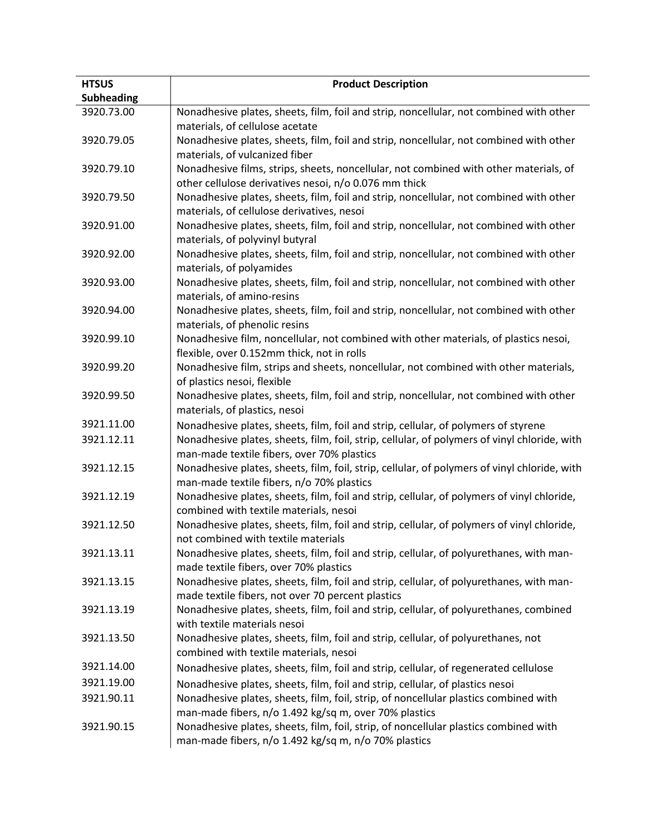| <b>HTSUS</b><br><b>Subheading</b> | <b>Product Description</b>                                                                   |
|-----------------------------------|----------------------------------------------------------------------------------------------|
| 3920.73.00                        | Nonadhesive plates, sheets, film, foil and strip, noncellular, not combined with other       |
|                                   | materials, of cellulose acetate                                                              |
| 3920.79.05                        | Nonadhesive plates, sheets, film, foil and strip, noncellular, not combined with other       |
|                                   | materials, of vulcanized fiber                                                               |
| 3920.79.10                        | Nonadhesive films, strips, sheets, noncellular, not combined with other materials, of        |
|                                   | other cellulose derivatives nesoi, n/o 0.076 mm thick                                        |
| 3920.79.50                        | Nonadhesive plates, sheets, film, foil and strip, noncellular, not combined with other       |
|                                   | materials, of cellulose derivatives, nesoi                                                   |
| 3920.91.00                        | Nonadhesive plates, sheets, film, foil and strip, noncellular, not combined with other       |
|                                   | materials, of polyvinyl butyral                                                              |
| 3920.92.00                        | Nonadhesive plates, sheets, film, foil and strip, noncellular, not combined with other       |
|                                   | materials, of polyamides                                                                     |
| 3920.93.00                        | Nonadhesive plates, sheets, film, foil and strip, noncellular, not combined with other       |
|                                   | materials, of amino-resins                                                                   |
| 3920.94.00                        | Nonadhesive plates, sheets, film, foil and strip, noncellular, not combined with other       |
|                                   | materials, of phenolic resins                                                                |
| 3920.99.10                        | Nonadhesive film, noncellular, not combined with other materials, of plastics nesoi,         |
|                                   | flexible, over 0.152mm thick, not in rolls                                                   |
| 3920.99.20                        | Nonadhesive film, strips and sheets, noncellular, not combined with other materials,         |
|                                   | of plastics nesoi, flexible                                                                  |
| 3920.99.50                        | Nonadhesive plates, sheets, film, foil and strip, noncellular, not combined with other       |
|                                   | materials, of plastics, nesoi                                                                |
| 3921.11.00                        | Nonadhesive plates, sheets, film, foil and strip, cellular, of polymers of styrene           |
| 3921.12.11                        | Nonadhesive plates, sheets, film, foil, strip, cellular, of polymers of vinyl chloride, with |
|                                   | man-made textile fibers, over 70% plastics                                                   |
| 3921.12.15                        | Nonadhesive plates, sheets, film, foil, strip, cellular, of polymers of vinyl chloride, with |
|                                   | man-made textile fibers, n/o 70% plastics                                                    |
| 3921.12.19                        | Nonadhesive plates, sheets, film, foil and strip, cellular, of polymers of vinyl chloride,   |
|                                   | combined with textile materials, nesoi                                                       |
| 3921.12.50                        | Nonadhesive plates, sheets, film, foil and strip, cellular, of polymers of vinyl chloride,   |
|                                   | not combined with textile materials                                                          |
| 3921.13.11                        | Nonadhesive plates, sheets, film, foil and strip, cellular, of polyurethanes, with man-      |
|                                   | made textile fibers, over 70% plastics                                                       |
| 3921.13.15                        | Nonadhesive plates, sheets, film, foil and strip, cellular, of polyurethanes, with man-      |
|                                   | made textile fibers, not over 70 percent plastics                                            |
| 3921.13.19                        | Nonadhesive plates, sheets, film, foil and strip, cellular, of polyurethanes, combined       |
|                                   | with textile materials nesoi                                                                 |
| 3921.13.50                        | Nonadhesive plates, sheets, film, foil and strip, cellular, of polyurethanes, not            |
|                                   | combined with textile materials, nesoi                                                       |
| 3921.14.00                        | Nonadhesive plates, sheets, film, foil and strip, cellular, of regenerated cellulose         |
| 3921.19.00                        | Nonadhesive plates, sheets, film, foil and strip, cellular, of plastics nesoi                |
| 3921.90.11                        | Nonadhesive plates, sheets, film, foil, strip, of noncellular plastics combined with         |
|                                   | man-made fibers, n/o 1.492 kg/sq m, over 70% plastics                                        |
| 3921.90.15                        | Nonadhesive plates, sheets, film, foil, strip, of noncellular plastics combined with         |
|                                   | man-made fibers, n/o 1.492 kg/sq m, n/o 70% plastics                                         |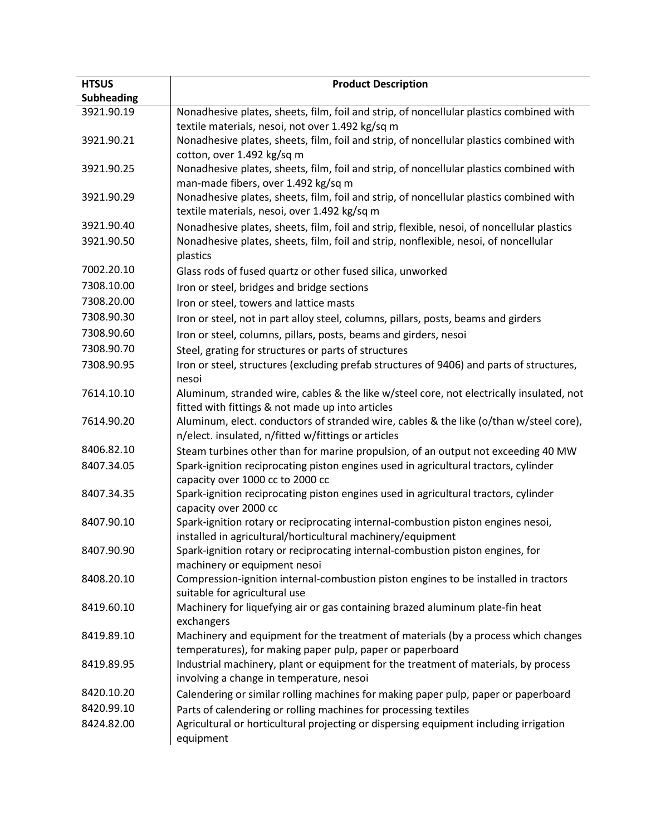| <b>HTSUS</b><br><b>Subheading</b> | <b>Product Description</b>                                                                                   |
|-----------------------------------|--------------------------------------------------------------------------------------------------------------|
| 3921.90.19                        | Nonadhesive plates, sheets, film, foil and strip, of noncellular plastics combined with                      |
|                                   | textile materials, nesoi, not over 1.492 kg/sq m                                                             |
| 3921.90.21                        | Nonadhesive plates, sheets, film, foil and strip, of noncellular plastics combined with                      |
|                                   | cotton, over 1.492 kg/sq m                                                                                   |
| 3921.90.25                        | Nonadhesive plates, sheets, film, foil and strip, of noncellular plastics combined with                      |
|                                   | man-made fibers, over 1.492 kg/sq m                                                                          |
| 3921.90.29                        | Nonadhesive plates, sheets, film, foil and strip, of noncellular plastics combined with                      |
|                                   | textile materials, nesoi, over 1.492 kg/sq m                                                                 |
| 3921.90.40                        | Nonadhesive plates, sheets, film, foil and strip, flexible, nesoi, of noncellular plastics                   |
| 3921.90.50                        | Nonadhesive plates, sheets, film, foil and strip, nonflexible, nesoi, of noncellular                         |
|                                   | plastics                                                                                                     |
| 7002.20.10                        | Glass rods of fused quartz or other fused silica, unworked                                                   |
| 7308.10.00                        | Iron or steel, bridges and bridge sections                                                                   |
| 7308.20.00                        | Iron or steel, towers and lattice masts                                                                      |
| 7308.90.30                        | Iron or steel, not in part alloy steel, columns, pillars, posts, beams and girders                           |
| 7308.90.60                        | Iron or steel, columns, pillars, posts, beams and girders, nesoi                                             |
| 7308.90.70                        | Steel, grating for structures or parts of structures                                                         |
| 7308.90.95                        | Iron or steel, structures (excluding prefab structures of 9406) and parts of structures,                     |
|                                   | nesoi                                                                                                        |
| 7614.10.10                        | Aluminum, stranded wire, cables & the like w/steel core, not electrically insulated, not                     |
|                                   | fitted with fittings & not made up into articles                                                             |
| 7614.90.20                        | Aluminum, elect. conductors of stranded wire, cables & the like (o/than w/steel core),                       |
|                                   | n/elect. insulated, n/fitted w/fittings or articles                                                          |
| 8406.82.10                        | Steam turbines other than for marine propulsion, of an output not exceeding 40 MW                            |
| 8407.34.05                        | Spark-ignition reciprocating piston engines used in agricultural tractors, cylinder                          |
|                                   | capacity over 1000 cc to 2000 cc                                                                             |
| 8407.34.35                        | Spark-ignition reciprocating piston engines used in agricultural tractors, cylinder<br>capacity over 2000 cc |
| 8407.90.10                        | Spark-ignition rotary or reciprocating internal-combustion piston engines nesoi,                             |
|                                   | installed in agricultural/horticultural machinery/equipment                                                  |
| 8407.90.90                        | Spark-ignition rotary or reciprocating internal-combustion piston engines, for                               |
|                                   | machinery or equipment nesoi                                                                                 |
| 8408.20.10                        | Compression-ignition internal-combustion piston engines to be installed in tractors                          |
|                                   | suitable for agricultural use                                                                                |
| 8419.60.10                        | Machinery for liquefying air or gas containing brazed aluminum plate-fin heat                                |
|                                   | exchangers                                                                                                   |
| 8419.89.10                        | Machinery and equipment for the treatment of materials (by a process which changes                           |
|                                   | temperatures), for making paper pulp, paper or paperboard                                                    |
| 8419.89.95                        | Industrial machinery, plant or equipment for the treatment of materials, by process                          |
|                                   | involving a change in temperature, nesoi                                                                     |
| 8420.10.20                        | Calendering or similar rolling machines for making paper pulp, paper or paperboard                           |
| 8420.99.10                        | Parts of calendering or rolling machines for processing textiles                                             |
| 8424.82.00                        | Agricultural or horticultural projecting or dispersing equipment including irrigation                        |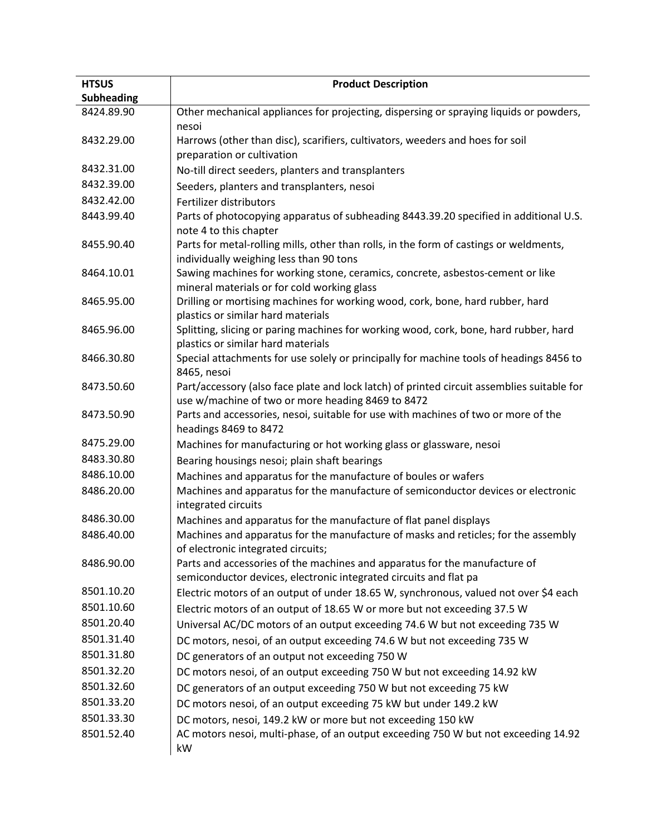| <b>HTSUS</b>      | <b>Product Description</b>                                                                                                                      |
|-------------------|-------------------------------------------------------------------------------------------------------------------------------------------------|
| <b>Subheading</b> |                                                                                                                                                 |
| 8424.89.90        | Other mechanical appliances for projecting, dispersing or spraying liquids or powders,                                                          |
| 8432.29.00        | nesoi<br>Harrows (other than disc), scarifiers, cultivators, weeders and hoes for soil                                                          |
|                   | preparation or cultivation                                                                                                                      |
| 8432.31.00        | No-till direct seeders, planters and transplanters                                                                                              |
| 8432.39.00        | Seeders, planters and transplanters, nesoi                                                                                                      |
| 8432.42.00        | Fertilizer distributors                                                                                                                         |
| 8443.99.40        | Parts of photocopying apparatus of subheading 8443.39.20 specified in additional U.S.                                                           |
|                   | note 4 to this chapter                                                                                                                          |
| 8455.90.40        | Parts for metal-rolling mills, other than rolls, in the form of castings or weldments,<br>individually weighing less than 90 tons               |
| 8464.10.01        | Sawing machines for working stone, ceramics, concrete, asbestos-cement or like                                                                  |
|                   | mineral materials or for cold working glass                                                                                                     |
| 8465.95.00        | Drilling or mortising machines for working wood, cork, bone, hard rubber, hard<br>plastics or similar hard materials                            |
| 8465.96.00        | Splitting, slicing or paring machines for working wood, cork, bone, hard rubber, hard                                                           |
|                   | plastics or similar hard materials                                                                                                              |
| 8466.30.80        | Special attachments for use solely or principally for machine tools of headings 8456 to                                                         |
|                   | 8465, nesoi                                                                                                                                     |
| 8473.50.60        | Part/accessory (also face plate and lock latch) of printed circuit assemblies suitable for<br>use w/machine of two or more heading 8469 to 8472 |
| 8473.50.90        | Parts and accessories, nesoi, suitable for use with machines of two or more of the                                                              |
|                   | headings 8469 to 8472                                                                                                                           |
| 8475.29.00        | Machines for manufacturing or hot working glass or glassware, nesoi                                                                             |
| 8483.30.80        | Bearing housings nesoi; plain shaft bearings                                                                                                    |
| 8486.10.00        | Machines and apparatus for the manufacture of boules or wafers                                                                                  |
| 8486.20.00        | Machines and apparatus for the manufacture of semiconductor devices or electronic<br>integrated circuits                                        |
| 8486.30.00        | Machines and apparatus for the manufacture of flat panel displays                                                                               |
| 8486.40.00        | Machines and apparatus for the manufacture of masks and reticles; for the assembly                                                              |
|                   | of electronic integrated circuits;                                                                                                              |
| 8486.90.00        | Parts and accessories of the machines and apparatus for the manufacture of                                                                      |
|                   | semiconductor devices, electronic integrated circuits and flat pa                                                                               |
| 8501.10.20        | Electric motors of an output of under 18.65 W, synchronous, valued not over \$4 each                                                            |
| 8501.10.60        | Electric motors of an output of 18.65 W or more but not exceeding 37.5 W                                                                        |
| 8501.20.40        | Universal AC/DC motors of an output exceeding 74.6 W but not exceeding 735 W                                                                    |
| 8501.31.40        | DC motors, nesoi, of an output exceeding 74.6 W but not exceeding 735 W                                                                         |
| 8501.31.80        | DC generators of an output not exceeding 750 W                                                                                                  |
| 8501.32.20        | DC motors nesoi, of an output exceeding 750 W but not exceeding 14.92 kW                                                                        |
| 8501.32.60        | DC generators of an output exceeding 750 W but not exceeding 75 kW                                                                              |
| 8501.33.20        | DC motors nesoi, of an output exceeding 75 kW but under 149.2 kW                                                                                |
| 8501.33.30        | DC motors, nesoi, 149.2 kW or more but not exceeding 150 kW                                                                                     |
| 8501.52.40        | AC motors nesoi, multi-phase, of an output exceeding 750 W but not exceeding 14.92<br>kW                                                        |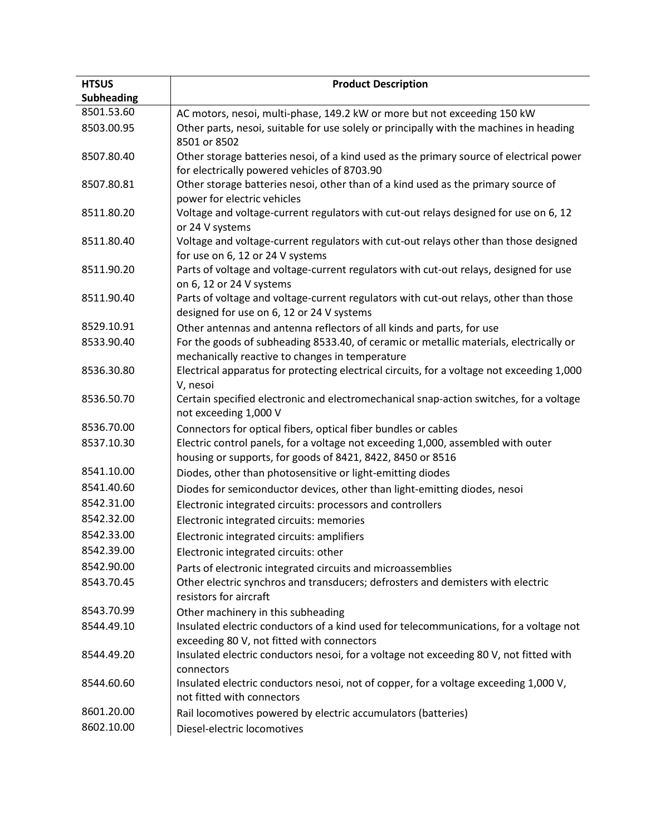| <b>HTSUS</b>      | <b>Product Description</b>                                                                                                                     |
|-------------------|------------------------------------------------------------------------------------------------------------------------------------------------|
| <b>Subheading</b> |                                                                                                                                                |
| 8501.53.60        | AC motors, nesoi, multi-phase, 149.2 kW or more but not exceeding 150 kW                                                                       |
| 8503.00.95        | Other parts, nesoi, suitable for use solely or principally with the machines in heading<br>8501 or 8502                                        |
| 8507.80.40        | Other storage batteries nesoi, of a kind used as the primary source of electrical power<br>for electrically powered vehicles of 8703.90        |
| 8507.80.81        | Other storage batteries nesoi, other than of a kind used as the primary source of<br>power for electric vehicles                               |
| 8511.80.20        | Voltage and voltage-current regulators with cut-out relays designed for use on 6, 12<br>or 24 V systems                                        |
| 8511.80.40        | Voltage and voltage-current regulators with cut-out relays other than those designed<br>for use on 6, 12 or 24 V systems                       |
| 8511.90.20        | Parts of voltage and voltage-current regulators with cut-out relays, designed for use<br>on 6, 12 or 24 V systems                              |
| 8511.90.40        | Parts of voltage and voltage-current regulators with cut-out relays, other than those<br>designed for use on 6, 12 or 24 V systems             |
| 8529.10.91        | Other antennas and antenna reflectors of all kinds and parts, for use                                                                          |
| 8533.90.40        | For the goods of subheading 8533.40, of ceramic or metallic materials, electrically or<br>mechanically reactive to changes in temperature      |
| 8536.30.80        | Electrical apparatus for protecting electrical circuits, for a voltage not exceeding 1,000<br>V, nesoi                                         |
| 8536.50.70        | Certain specified electronic and electromechanical snap-action switches, for a voltage<br>not exceeding 1,000 V                                |
| 8536.70.00        | Connectors for optical fibers, optical fiber bundles or cables                                                                                 |
| 8537.10.30        | Electric control panels, for a voltage not exceeding 1,000, assembled with outer<br>housing or supports, for goods of 8421, 8422, 8450 or 8516 |
| 8541.10.00        | Diodes, other than photosensitive or light-emitting diodes                                                                                     |
| 8541.40.60        | Diodes for semiconductor devices, other than light-emitting diodes, nesoi                                                                      |
| 8542.31.00        | Electronic integrated circuits: processors and controllers                                                                                     |
| 8542.32.00        | Electronic integrated circuits: memories                                                                                                       |
| 8542.33.00        | Electronic integrated circuits: amplifiers                                                                                                     |
| 8542.39.00        | Electronic integrated circuits: other                                                                                                          |
| 8542.90.00        | Parts of electronic integrated circuits and microassemblies                                                                                    |
| 8543.70.45        | Other electric synchros and transducers; defrosters and demisters with electric<br>resistors for aircraft                                      |
| 8543.70.99        | Other machinery in this subheading                                                                                                             |
| 8544.49.10        | Insulated electric conductors of a kind used for telecommunications, for a voltage not<br>exceeding 80 V, not fitted with connectors           |
| 8544.49.20        | Insulated electric conductors nesoi, for a voltage not exceeding 80 V, not fitted with<br>connectors                                           |
| 8544.60.60        | Insulated electric conductors nesoi, not of copper, for a voltage exceeding 1,000 V,<br>not fitted with connectors                             |
| 8601.20.00        | Rail locomotives powered by electric accumulators (batteries)                                                                                  |
| 8602.10.00        | Diesel-electric locomotives                                                                                                                    |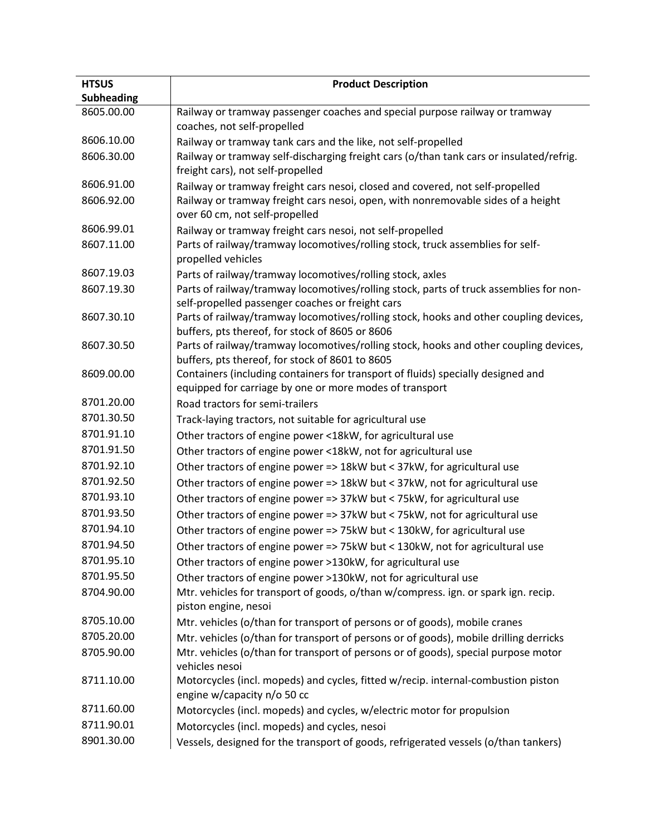| <b>HTSUS</b><br><b>Subheading</b> | <b>Product Description</b>                                                                                                                  |
|-----------------------------------|---------------------------------------------------------------------------------------------------------------------------------------------|
| 8605.00.00                        | Railway or tramway passenger coaches and special purpose railway or tramway                                                                 |
|                                   | coaches, not self-propelled                                                                                                                 |
| 8606.10.00                        | Railway or tramway tank cars and the like, not self-propelled                                                                               |
| 8606.30.00                        | Railway or tramway self-discharging freight cars (o/than tank cars or insulated/refrig.                                                     |
|                                   | freight cars), not self-propelled                                                                                                           |
| 8606.91.00                        | Railway or tramway freight cars nesoi, closed and covered, not self-propelled                                                               |
| 8606.92.00                        | Railway or tramway freight cars nesoi, open, with nonremovable sides of a height<br>over 60 cm, not self-propelled                          |
| 8606.99.01                        | Railway or tramway freight cars nesoi, not self-propelled                                                                                   |
| 8607.11.00                        | Parts of railway/tramway locomotives/rolling stock, truck assemblies for self-<br>propelled vehicles                                        |
| 8607.19.03                        | Parts of railway/tramway locomotives/rolling stock, axles                                                                                   |
| 8607.19.30                        | Parts of railway/tramway locomotives/rolling stock, parts of truck assemblies for non-<br>self-propelled passenger coaches or freight cars  |
| 8607.30.10                        | Parts of railway/tramway locomotives/rolling stock, hooks and other coupling devices,<br>buffers, pts thereof, for stock of 8605 or 8606    |
| 8607.30.50                        | Parts of railway/tramway locomotives/rolling stock, hooks and other coupling devices,<br>buffers, pts thereof, for stock of 8601 to 8605    |
| 8609.00.00                        | Containers (including containers for transport of fluids) specially designed and<br>equipped for carriage by one or more modes of transport |
| 8701.20.00                        | Road tractors for semi-trailers                                                                                                             |
| 8701.30.50                        | Track-laying tractors, not suitable for agricultural use                                                                                    |
| 8701.91.10                        | Other tractors of engine power <18kW, for agricultural use                                                                                  |
| 8701.91.50                        | Other tractors of engine power <18kW, not for agricultural use                                                                              |
| 8701.92.10                        | Other tractors of engine power => 18kW but < 37kW, for agricultural use                                                                     |
| 8701.92.50                        | Other tractors of engine power => 18kW but < 37kW, not for agricultural use                                                                 |
| 8701.93.10                        | Other tractors of engine power => 37kW but < 75kW, for agricultural use                                                                     |
| 8701.93.50                        | Other tractors of engine power => 37kW but < 75kW, not for agricultural use                                                                 |
| 8701.94.10                        | Other tractors of engine power => 75kW but < 130kW, for agricultural use                                                                    |
| 8701.94.50                        | Other tractors of engine power => 75kW but < 130kW, not for agricultural use                                                                |
| 8701.95.10                        | Other tractors of engine power >130kW, for agricultural use                                                                                 |
| 8701.95.50                        | Other tractors of engine power >130kW, not for agricultural use                                                                             |
| 8704.90.00                        | Mtr. vehicles for transport of goods, o/than w/compress. ign. or spark ign. recip.<br>piston engine, nesoi                                  |
| 8705.10.00                        | Mtr. vehicles (o/than for transport of persons or of goods), mobile cranes                                                                  |
| 8705.20.00                        | Mtr. vehicles (o/than for transport of persons or of goods), mobile drilling derricks                                                       |
| 8705.90.00                        | Mtr. vehicles (o/than for transport of persons or of goods), special purpose motor<br>vehicles nesoi                                        |
| 8711.10.00                        | Motorcycles (incl. mopeds) and cycles, fitted w/recip. internal-combustion piston<br>engine w/capacity n/o 50 cc                            |
| 8711.60.00                        | Motorcycles (incl. mopeds) and cycles, w/electric motor for propulsion                                                                      |
| 8711.90.01                        | Motorcycles (incl. mopeds) and cycles, nesoi                                                                                                |
| 8901.30.00                        | Vessels, designed for the transport of goods, refrigerated vessels (o/than tankers)                                                         |
|                                   |                                                                                                                                             |